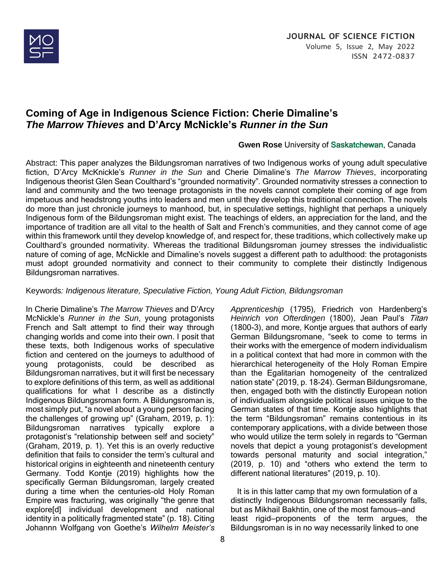

# **Coming of Age in Indigenous Science Fiction: Cherie Dimaline's** *The Marrow Thieves* **and D'Arcy McNickle's** *Runner in the Sun*

#### **Gwen Rose** University of Saskatchewan, Canada

*Apprenticeship* (1795), Friedrich von Hardenberg's *Heinrich von Ofterdingen* (1800), Jean Paul's Titan (1800-3), and more, Kontje argues that authors of early German Bildungsromane, "seek to come to terms in their works with the emergence of modern individualism in a political context that had more in common with the hierarchical heterogeneity of the Holy Roman Empire than the Egalitarian homogeneity of the centralized nation state" (2019, p. 18-24). German Bildungsromane, then, engaged both with the distinctly European notion of individualism alongside political issues unique to the German states of that time. Kontje also highlights that the term "Bildungsroman" remains contentious in its contemporary applications, with a divide between those who would utilize the term solely in regards to "German novels that depict a young protagonist's development towards personal maturity and social integration,"

Abstract: This paper analyzes the Bildungsroman narratives of two Indigenous works of young adult speculative fiction, D'Arcy McKnickle's *Runner in the Sun* and Cherie Dimaline's *The Marrow Thieves*, incorporating Indigenous theorist Glen Sean Coulthard's "grounded normativity". Grounded normativity stresses a connection to land and community and the two teenage protagonists in the novels cannot complete their coming of age from impetuous and headstrong youths into leaders and men until they develop this traditional connection. The novels do more than just chronicle journeys to manhood, but, in speculative settings, highlight that perhaps a uniquely Indigenous form of the Bildungsroman might exist. The teachings of elders, an appreciation for the land, and the importance of tradition are all vital to the health of Salt and French's communities, and they cannot come of age within this framework until they develop knowledge of, and respect for, these traditions, which collectively make up Coulthard's grounded normativity. Whereas the traditional Bildungsroman journey stresses the individualistic nature of coming of age, McNickle and Dimaline's novels suggest a different path to adulthood: the protagonists must adopt grounded normativity and connect to their community to complete their distinctly Indigenous Bildungsroman narratives.

#### Keywords*: Indigenous literature, Speculative Fiction, Young Adult Fiction, Bildungsroman*

In Cherie Dimaline's *The Marrow Thieves* and D'Arcy McNickle's *Runner in the Sun*, young protagonists French and Salt attempt to find their way through changing worlds and come into their own. I posit that these texts, both Indigenous works of speculative fiction and centered on the journeys to adulthood of young protagonists, could be described as Bildungsroman narratives, but it will first be necessary to explore definitions of this term, as well as additional qualifications for what I describe as a distinctly Indigenous Bildungsroman form. A Bildungsroman is, most simply put, "a novel about a young person facing the challenges of growing up" (Graham, 2019, p. 1): Bildungsroman narratives typically explore a protagonist's "relationship between self and society" (Graham, 2019, p. 1). Yet this is an overly reductive definition that fails to consider the term's cultural and historical origins in eighteenth and nineteenth century Germany. Todd Kontje (2019) highlights how the specifically German Bildungsroman, largely created during a time when the centuries-old Holy Roman Empire was fracturing, was originally "the genre that explore[d] individual development and national identity in a politically fragmented state" (p. 18). Citing Johannn Wolfgang von Goethe's *Wilhelm Meister's* 

(2019, p. 10) and "others who extend the term to different national literatures" (2019, p. 10). It is in this latter camp that my own formulation of a distinctly Indigenous Bildungsroman necessarily falls, but as Mikhail Bakhtin, one of the most famous—and least rigid—proponents of the term argues, the

Bildungsroman is in no way necessarily linked to one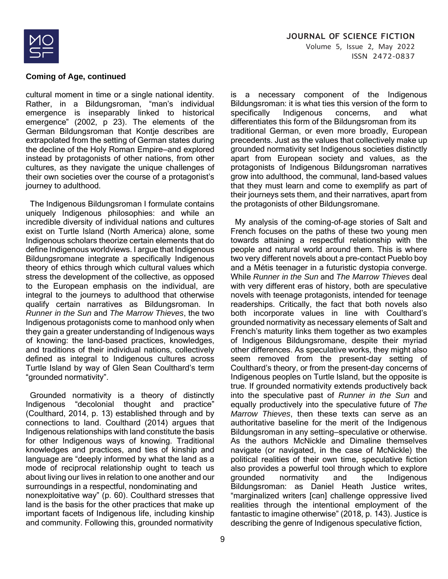

cultural moment in time or a single national identity. Rather, in a Bildungsroman, "man's individual emergence is inseparably linked to historical emergence" (2002, p 23). The elements of the German Bildungsroman that Kontje describes are extrapolated from the setting of German states during the decline of the Holy Roman Empire—and explored instead by protagonists of other nations, from other cultures, as they navigate the unique challenges of their own societies over the course of a protagonist's journey to adulthood.

 The Indigenous Bildungsroman I formulate contains uniquely Indigenous philosophies: and while an incredible diversity of individual nations and cultures exist on Turtle Island (North America) alone, some Indigenous scholars theorize certain elements that do define Indigenous worldviews. I argue that Indigenous Bildungsromane integrate a specifically Indigenous theory of ethics through which cultural values which stress the development of the collective, as opposed to the European emphasis on the individual, are integral to the journeys to adulthood that otherwise qualify certain narratives as Bildungsroman. In *Runner in the Sun* and *The Marrow Thieves*, the two Indigenous protagonists come to manhood only when they gain a greater understanding of Indigenous ways of knowing: the land-based practices, knowledges, and traditions of their individual nations, collectively defined as integral to Indigenous cultures across Turtle Island by way of Glen Sean Coulthard's term "grounded normativity".

 Grounded normativity is a theory of distinctly Indigenous "decolonial thought and practice" (Coulthard, 2014, p. 13) established through and by connections to land. Coulthard (2014) argues that Indigenous relationships with land constitute the basis for other Indigenous ways of knowing. Traditional knowledges and practices, and ties of kinship and language are "deeply informed by what the land as a mode of reciprocal relationship ought to teach us about living our lives in relation to one another and our surroundings in a respectful, nondominating and nonexploitative way" (p. 60). Coulthard stresses that land is the basis for the other practices that make up important facets of Indigenous life, including kinship and community. Following this, grounded normativity

is a necessary component of the Indigenous Bildungsroman: it is what ties this version of the form to specifically Indigenous concerns, and what differentiates this form of the Bildungsroman from its traditional German, or even more broadly, European precedents. Just as the values that collectively make up grounded normativity set Indigenous societies distinctly apart from European society and values, as the protagonists of Indigenous Bildungsroman narratives grow into adulthood, the communal, land-based values that they must learn and come to exemplify as part of their journeys sets them, and their narratives, apart from the protagonists of other Bildungsromane.

 My analysis of the coming-of-age stories of Salt and French focuses on the paths of these two young men towards attaining a respectful relationship with the people and natural world around them. This is where two very different novels about a pre-contact Pueblo boy and a Métis teenager in a futuristic dystopia converge. While *Runner in the Sun* and *The Marrow Thieves* deal with very different eras of history, both are speculative novels with teenage protagonists, intended for teenage readerships. Critically, the fact that both novels also both incorporate values in line with Coulthard's grounded normativity as necessary elements of Salt and French's maturity links them together as two examples of Indigenous Bildungsromane, despite their myriad other differences. As speculative works, they might also seem removed from the present-day setting of Coulthard's theory, or from the present-day concerns of Indigenous peoples on Turtle Island, but the opposite is true. If grounded normativity extends productively back into the speculative past of *Runner in the Sun* and equally productively into the speculative future of *The Marrow Thieves*, then these texts can serve as an authoritative baseline for the merit of the Indigenous Bildungsroman in any setting—speculative or otherwise. As the authors McNickle and Dimaline themselves navigate (or navigated, in the case of McNickle) the political realities of their own time, speculative fiction also provides a powerful tool through which to explore grounded normativity and the Indigenous Bildungsroman: as Daniel Heath Justice writes, "marginalized writers [can] challenge oppressive lived realities through the intentional employment of the fantastic to imagine otherwise" (2018, p. 143). Justice is describing the genre of Indigenous speculative fiction,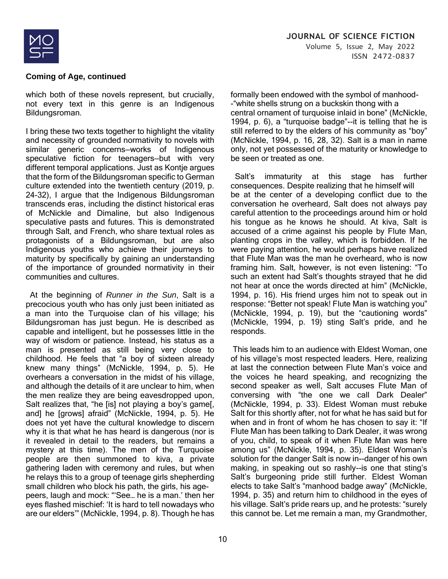

which both of these novels represent, but crucially, not every text in this genre is an Indigenous Bildungsroman.

I bring these two texts together to highlight the vitality and necessity of grounded normativity to novels with similar generic concerns—works of Indigenous speculative fiction for teenagers—but with very different temporal applications. Just as Kontje argues that the form of the Bildungsroman specific to German culture extended into the twentieth century (2019, p. 24-32), I argue that the Indigenous Bildungsroman transcends eras, including the distinct historical eras of McNickle and Dimaline, but also Indigenous speculative pasts and futures. This is demonstrated through Salt, and French, who share textual roles as protagonists of a Bildungsroman, but are also Indigenous youths who achieve their journeys to maturity by specifically by gaining an understanding of the importance of grounded normativity in their communities and cultures.

 At the beginning of *Runner in the Sun*, Salt is a precocious youth who has only just been initiated as a man into the Turquoise clan of his village; his Bildungsroman has just begun. He is described as capable and intelligent, but he possesses little in the way of wisdom or patience. Instead, his status as a man is presented as still being very close to childhood. He feels that "a boy of sixteen already knew many things" (McNickle, 1994, p. 5). He overhears a conversation in the midst of his village, and although the details of it are unclear to him, when the men realize they are being eavesdropped upon, Salt realizes that, "he [is] not playing a boy's game[, and] he [grows] afraid" (McNickle, 1994, p. 5). He does not yet have the cultural knowledge to discern why it is that what he has heard is dangerous (nor is it revealed in detail to the readers, but remains a mystery at this time). The men of the Turquoise people are then summoned to kiva, a private gathering laden with ceremony and rules, but when he relays this to a group of teenage girls shepherding small children who block his path, the girls, his agepeers, laugh and mock: "'See… he is a man.' then her eyes flashed mischief: 'It is hard to tell nowadays who are our elders'" (McNickle, 1994, p. 8). Though he has formally been endowed with the symbol of manhood- -"white shells strung on a buckskin thong with a central ornament of turquoise inlaid in bone" (McNickle, 1994, p. 6), a "turquoise badge"--it is telling that he is still referred to by the elders of his community as "boy" (McNickle, 1994, p. 16, 28, 32). Salt is a man in name only, not yet possessed of the maturity or knowledge to be seen or treated as one.

 Salt's immaturity at this stage has further consequences. Despite realizing that he himself will be at the center of a developing conflict due to the conversation he overheard, Salt does not always pay careful attention to the proceedings around him or hold his tongue as he knows he should. At kiva, Salt is accused of a crime against his people by Flute Man, planting crops in the valley, which is forbidden. If he were paying attention, he would perhaps have realized that Flute Man was the man he overheard, who is now framing him. Salt, however, is not even listening: "To such an extent had Salt's thoughts strayed that he did not hear at once the words directed at him" (McNickle, 1994, p. 16). His friend urges him not to speak out in response: "Better not speak! Flute Man is watching you" (McNickle, 1994, p. 19), but the "cautioning words" (McNickle, 1994, p. 19) sting Salt's pride, and he responds.

This leads him to an audience with Eldest Woman, one of his village's most respected leaders. Here, realizing at last the connection between Flute Man's voice and the voices he heard speaking, and recognizing the second speaker as well, Salt accuses Flute Man of conversing with "the one we call Dark Dealer" (McNickle, 1994, p. 33). Eldest Woman must rebuke Salt for this shortly after, not for what he has said but for when and in front of whom he has chosen to say it: "If Flute Man has been talking to Dark Dealer, it was wrong of you, child, to speak of it when Flute Man was here among us" (McNickle, 1994, p. 35). Eldest Woman's solution for the danger Salt is now in--danger of his own making, in speaking out so rashly--is one that sting's Salt's burgeoning pride still further. Eldest Woman elects to take Salt's "manhood badge away" (McNickle, 1994, p. 35) and return him to childhood in the eyes of his village. Salt's pride rears up, and he protests: "surely this cannot be. Let me remain a man, my Grandmother,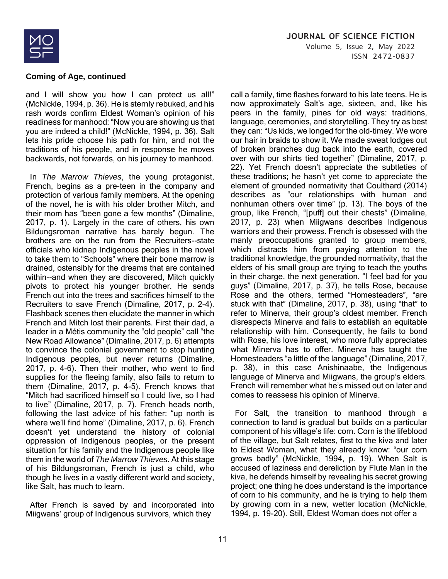

and I will show you how I can protect us all!" (McNickle, 1994, p. 36). He is sternly rebuked, and his rash words confirm Eldest Woman's opinion of his readiness for manhood: "Now you are showing us that you are indeed a child!" (McNickle, 1994, p. 36). Salt lets his pride choose his path for him, and not the traditions of his people, and in response he moves backwards, not forwards, on his journey to manhood.

 In *The Marrow Thieves*, the young protagonist, French, begins as a pre-teen in the company and protection of various family members. At the opening of the novel, he is with his older brother Mitch, and their mom has "been gone a few months" (Dimaline, 2017, p. 1). Largely in the care of others, his own Bildungsroman narrative has barely begun. The brothers are on the run from the Recruiters--state officials who kidnap Indigenous peoples in the novel to take them to "Schools" where their bone marrow is drained, ostensibly for the dreams that are contained within--and when they are discovered, Mitch quickly pivots to protect his younger brother. He sends French out into the trees and sacrifices himself to the Recruiters to save French (Dimaline, 2017, p. 2-4). Flashback scenes then elucidate the manner in which French and Mitch lost their parents. First their dad, a leader in a Métis community the "old people" call "the New Road Allowance" (Dimaline, 2017, p. 6) attempts to convince the colonial government to stop hunting Indigenous peoples, but never returns (Dimaline, 2017, p. 4-6). Then their mother, who went to find supplies for the fleeing family, also fails to return to them (Dimaline, 2017, p. 4-5). French knows that "Mitch had sacrificed himself so I could live, so I had to live" (Dimaline, 2017, p. 7). French heads north, following the last advice of his father: "up north is where we'll find home" (Dimaline, 2017, p. 6). French doesn't yet understand the history of colonial oppression of Indigenous peoples, or the present situation for his family and the Indigenous people like them in the world of *The Marrow Thieves*. At this stage of his Bildungsroman, French is just a child, who though he lives in a vastly different world and society, like Salt, has much to learn.

 After French is saved by and incorporated into Miigwans' group of Indigenous survivors, which they

call a family, time flashes forward to his late teens. He is now approximately Salt's age, sixteen, and, like his peers in the family, pines for old ways: traditions, language, ceremonies, and storytelling. They try as best they can: "Us kids, we longed for the old-timey. We wore our hair in braids to show it. We made sweat lodges out of broken branches dug back into the earth, covered over with our shirts tied together" (Dimaline, 2017, p. 22). Yet French doesn't appreciate the subtleties of these traditions; he hasn't yet come to appreciate the element of grounded normativity that Coulthard (2014) describes as "our relationships with human and nonhuman others over time" (p. 13). The boys of the group, like French, "[puff] out their chests" (Dimaline, 2017, p. 23) when Miigwans describes Indigenous warriors and their prowess. French is obsessed with the manly preoccupations granted to group members, which distracts him from paying attention to the traditional knowledge, the grounded normativity, that the elders of his small group are trying to teach the youths in their charge, the next generation. "I feel bad for you guys" (Dimaline, 2017, p. 37), he tells Rose, because Rose and the others, termed "Homesteaders", "are stuck with that" (Dimaline, 2017, p. 38), using "that" to refer to Minerva, their group's oldest member. French disrespects Minerva and fails to establish an equitable relationship with him. Consequently, he fails to bond with Rose, his love interest, who more fully appreciates what Minerva has to offer. Minerva has taught the Homesteaders "a little of the language" (Dimaline, 2017, p. 38), in this case Anishinaabe, the Indigenous language of Minerva and Miigwans, the group's elders. French will remember what he's missed out on later and comes to reassess his opinion of Minerva.

 For Salt, the transition to manhood through a connection to land is gradual but builds on a particular component of his village's life: corn. Corn is the lifeblood of the village, but Salt relates, first to the kiva and later to Eldest Woman, what they already know: "our corn grows badly" (McNickle, 1994, p. 19). When Salt is accused of laziness and dereliction by Flute Man in the kiva, he defends himself by revealing his secret growing project; one thing he does understand is the importance of corn to his community, and he is trying to help them by growing corn in a new, wetter location (McNickle, 1994, p. 19-20). Still, Eldest Woman does not offer a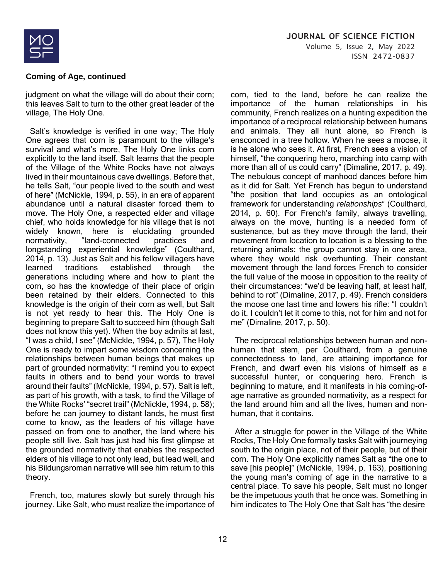

# **JOURNAL OF SCIENCE FICTION** Volume 5, Issue 2, May 2022 ISSN 2472-0837

#### **Coming of Age, continued**

judgment on what the village will do about their corn; this leaves Salt to turn to the other great leader of the village, The Holy One.

 Salt's knowledge is verified in one way; The Holy One agrees that corn is paramount to the village's survival and what's more, The Holy One links corn explicitly to the land itself. Salt learns that the people of the Village of the White Rocks have not always lived in their mountainous cave dwellings. Before that, he tells Salt, "our people lived to the south and west of here" (McNickle, 1994, p. 55), in an era of apparent abundance until a natural disaster forced them to move. The Holy One, a respected elder and village chief, who holds knowledge for his village that is not widely known, here is elucidating grounded normativity, "land-connected practices and longstanding experiential knowledge" (Coulthard, 2014, p. 13). Just as Salt and his fellow villagers have learned traditions established through the generations including where and how to plant the corn, so has the knowledge of their place of origin been retained by their elders. Connected to this knowledge is the origin of their corn as well, but Salt is not yet ready to hear this. The Holy One is beginning to prepare Salt to succeed him (though Salt does not know this yet). When the boy admits at last, "I was a child, I see" (McNickle, 1994, p. 57), The Holy One is ready to impart some wisdom concerning the relationships between human beings that makes up part of grounded normativity: "I remind you to expect faults in others and to bend your words to travel around their faults" (McNickle, 1994, p. 57). Salt is left, as part of his growth, with a task, to find the Village of the White Rocks' "secret trail" (McNickle, 1994, p. 58); before he can journey to distant lands, he must first come to know, as the leaders of his village have passed on from one to another, the land where his people still live. Salt has just had his first glimpse at the grounded normativity that enables the respected elders of his village to not only lead, but lead well, and his Bildungsroman narrative will see him return to this theory.

 French, too, matures slowly but surely through his journey. Like Salt, who must realize the importance of

corn, tied to the land, before he can realize the importance of the human relationships in his community, French realizes on a hunting expedition the importance of a reciprocal relationship between humans and animals. They all hunt alone, so French is ensconced in a tree hollow. When he sees a moose, it is he alone who sees it. At first, French sees a vision of himself, "the conquering hero, marching into camp with more than all of us could carry" (Dimaline, 2017, p. 49). The nebulous concept of manhood dances before him as it did for Salt. Yet French has begun to understand "the position that land occupies as an ontological framework for understanding *relationships*" (Coulthard, 2014, p. 60). For French's family, always travelling, always on the move, hunting is a needed form of sustenance, but as they move through the land, their movement from location to location is a blessing to the returning animals: the group cannot stay in one area, where they would risk overhunting. Their constant movement through the land forces French to consider the full value of the moose in opposition to the reality of their circumstances: "we'd be leaving half, at least half, behind to rot" (Dimaline, 2017, p. 49). French considers the moose one last time and lowers his rifle: "I couldn't do it. I couldn't let it come to this, not for him and not for me" (Dimaline, 2017, p. 50).

 The reciprocal relationships between human and nonhuman that stem, per Coulthard, from a genuine connectedness to land, are attaining importance for French, and dwarf even his visions of himself as a successful hunter, or conquering hero. French is beginning to mature, and it manifests in his coming-ofage narrative as grounded normativity, as a respect for the land around him and all the lives, human and nonhuman, that it contains.

 After a struggle for power in the Village of the White Rocks, The Holy One formally tasks Salt with journeying south to the origin place, not of their people, but of their corn. The Holy One explicitly names Salt as "the one to save [his people]" (McNickle, 1994, p. 163), positioning the young man's coming of age in the narrative to a central place. To save his people, Salt must no longer be the impetuous youth that he once was. Something in him indicates to The Holy One that Salt has "the desire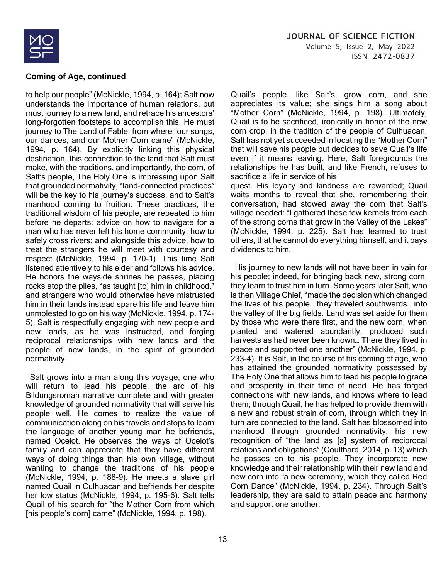

to help our people" (McNickle, 1994, p. 164); Salt now understands the importance of human relations, but must journey to a new land, and retrace his ancestors' long-forgotten footsteps to accomplish this. He must journey to The Land of Fable, from where "our songs, our dances, and our Mother Corn came" (McNickle, 1994, p. 164). By explicitly linking this physical destination, this connection to the land that Salt must make, with the traditions, and importantly, the corn, of Salt's people, The Holy One is impressing upon Salt that grounded normativity, "land-connected practices" will be the key to his journey's success, and to Salt's manhood coming to fruition. These practices, the traditional wisdom of his people, are repeated to him before he departs: advice on how to navigate for a man who has never left his home community; how to safely cross rivers; and alongside this advice, how to treat the strangers he will meet with courtesy and respect (McNickle, 1994, p. 170-1). This time Salt listened attentively to his elder and follows his advice. He honors the wayside shrines he passes, placing rocks atop the piles, "as taught [to] him in childhood," and strangers who would otherwise have mistrusted him in their lands instead spare his life and leave him unmolested to go on his way (McNickle, 1994, p. 174- 5). Salt is respectfully engaging with new people and new lands, as he was instructed, and forging reciprocal relationships with new lands and the people of new lands, in the spirit of grounded normativity.

 Salt grows into a man along this voyage, one who will return to lead his people, the arc of his Bildungsroman narrative complete and with greater knowledge of grounded normativity that will serve his people well. He comes to realize the value of communication along on his travels and stops to learn the language of another young man he befriends, named Ocelot. He observes the ways of Ocelot's family and can appreciate that they have different ways of doing things than his own village, without wanting to change the traditions of his people (McNickle, 1994, p. 188-9). He meets a slave girl named Quail in Culhuacan and befriends her despite her low status (McNickle, 1994, p. 195-6). Salt tells Quail of his search for "the Mother Corn from which [his people's corn] came" (McNickle, 1994, p. 198).

Quail's people, like Salt's, grow corn, and she appreciates its value; she sings him a song about "Mother Corn" (McNickle, 1994, p. 198). Ultimately, Quail is to be sacrificed, ironically in honor of the new corn crop, in the tradition of the people of Culhuacan. Salt has not yet succeeded in locating the "Mother Corn" that will save his people but decides to save Quail's life even if it means leaving. Here, Salt foregrounds the relationships he has built, and like French, refuses to sacrifice a life in service of his quest. His loyalty and kindness are rewarded; Quail waits months to reveal that she, remembering their conversation, had stowed away the corn that Salt's village needed: "I gathered these few kernels from each

of the strong corns that grow in the Valley of the Lakes" (McNickle, 1994, p. 225). Salt has learned to trust others, that he cannot do everything himself, and it pays dividends to him.

 His journey to new lands will not have been in vain for his people; indeed, for bringing back new, strong corn, they learn to trust him in turn. Some years later Salt, who is then Village Chief, "made the decision which changed the lives of his people… they traveled southwards… into the valley of the big fields. Land was set aside for them by those who were there first, and the new corn, when planted and watered abundantly, produced such harvests as had never been known… There they lived in peace and supported one another" (McNickle, 1994, p. 233-4). It is Salt, in the course of his coming of age, who has attained the grounded normativity possessed by The Holy One that allows him to lead his people to grace and prosperity in their time of need. He has forged connections with new lands, and knows where to lead them; through Quail, he has helped to provide them with a new and robust strain of corn, through which they in turn are connected to the land. Salt has blossomed into manhood through grounded normativity, his new recognition of "the land as [a] system of reciprocal relations and obligations" (Coulthard, 2014, p. 13) which he passes on to his people. They incorporate new knowledge and their relationship with their new land and new corn into "a new ceremony, which they called Red Corn Dance" (McNickle, 1994, p. 234). Through Salt's leadership, they are said to attain peace and harmony and support one another.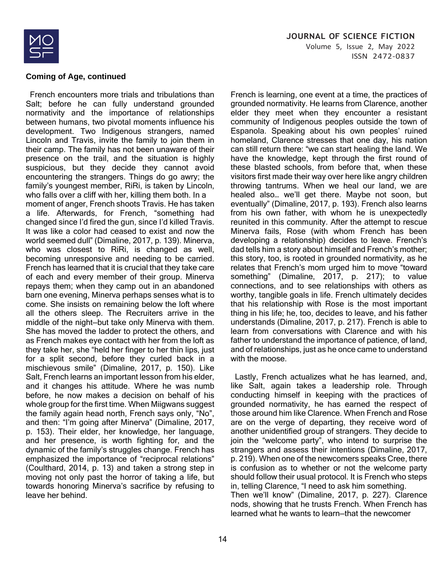

 French encounters more trials and tribulations than Salt; before he can fully understand grounded normativity and the importance of relationships between humans, two pivotal moments influence his development. Two Indigenous strangers, named Lincoln and Travis, invite the family to join them in their camp. The family has not been unaware of their presence on the trail, and the situation is highly suspicious, but they decide they cannot avoid encountering the strangers. Things do go awry; the family's youngest member, RiRi, is taken by Lincoln, who falls over a cliff with her, killing them both. In a moment of anger, French shoots Travis. He has taken a life. Afterwards, for French, "something had changed since I'd fired the gun, since I'd killed Travis. It was like a color had ceased to exist and now the world seemed dull" (Dimaline, 2017, p. 139). Minerva, who was closest to RiRi, is changed as well, becoming unresponsive and needing to be carried. French has learned that it is crucial that they take care of each and every member of their group. Minerva repays them; when they camp out in an abandoned barn one evening, Minerva perhaps senses what is to come. She insists on remaining below the loft where all the others sleep. The Recruiters arrive in the middle of the night—but take only Minerva with them. She has moved the ladder to protect the others, and as French makes eye contact with her from the loft as they take her, she "held her finger to her thin lips, just for a split second, before they curled back in a mischievous smile" (Dimaline, 2017, p. 150). Like Salt, French learns an important lesson from his elder, and it changes his attitude. Where he was numb before, he now makes a decision on behalf of his whole group for the first time. When Miigwans suggest the family again head north, French says only, "No", and then: "I'm going after Minerva" (Dimaline, 2017, p. 153). Their elder, her knowledge, her language, and her presence, is worth fighting for, and the dynamic of the family's struggles change. French has emphasized the importance of "reciprocal relations" (Coulthard, 2014, p. 13) and taken a strong step in moving not only past the horror of taking a life, but towards honoring Minerva's sacrifice by refusing to leave her behind.

French is learning, one event at a time, the practices of grounded normativity. He learns from Clarence, another elder they meet when they encounter a resistant community of Indigenous peoples outside the town of Espanola. Speaking about his own peoples' ruined homeland, Clarence stresses that one day, his nation can still return there: "we can start healing the land. We have the knowledge, kept through the first round of these blasted schools, from before that, when these visitors first made their way over here like angry children throwing tantrums. When we heal our land, we are healed also… we'll get there. Maybe not soon, but eventually" (Dimaline, 2017, p. 193). French also learns from his own father, with whom he is unexpectedly reunited in this community. After the attempt to rescue Minerva fails, Rose (with whom French has been developing a relationship) decides to leave. French's dad tells him a story about himself and French's mother; this story, too, is rooted in grounded normativity, as he relates that French's mom urged him to move "toward something" (Dimaline, 2017, p. 217); to value connections, and to see relationships with others as worthy, tangible goals in life. French ultimately decides that his relationship with Rose is the most important thing in his life; he, too, decides to leave, and his father understands (Dimaline, 2017, p. 217). French is able to learn from conversations with Clarence and with his father to understand the importance of patience, of land, and of relationships, just as he once came to understand with the moose.

 Lastly, French actualizes what he has learned, and, like Salt, again takes a leadership role. Through conducting himself in keeping with the practices of grounded normativity, he has earned the respect of those around him like Clarence. When French and Rose are on the verge of departing, they receive word of another unidentified group of strangers. They decide to join the "welcome party", who intend to surprise the strangers and assess their intentions (Dimaline, 2017, p. 219). When one of the newcomers speaks Cree, there is confusion as to whether or not the welcome party should follow their usual protocol. It is French who steps in, telling Clarence, "I need to ask him something. Then we'll know" (Dimaline, 2017, p. 227). Clarence nods, showing that he trusts French. When French has learned what he wants to learn—that the newcomer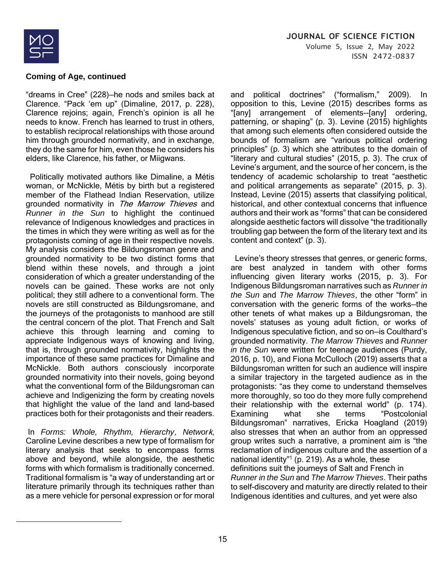

"dreams in Cree" (228)—he nods and smiles back at Clarence. "Pack 'em up" (Dimaline, 2017, p. 228), Clarence rejoins; again, French's opinion is all he needs to know. French has learned to trust in others, to establish reciprocal relationships with those around him through grounded normativity, and in exchange, they do the same for him, even those he considers his elders, like Clarence, his father, or Miigwans.

 Politically motivated authors like Dimaline, a Métis woman, or McNickle, Métis by birth but a registered member of the Flathead Indian Reservation, utilize grounded normativity in The Marrow Thieves and *Runner in the Sun* to highlight the continued relevance of Indigenous knowledges and practices in the times in which they were writing as well as for the protagonists coming of age in their respective novels. My analysis considers the Bildungsroman genre and grounded normativity to be two distinct forms that blend within these novels, and through a joint consideration of which a greater understanding of the novels can be gained. These works are not only political; they still adhere to a conventional form. The novels are still constructed as Bildungsromane, and the journeys of the protagonists to manhood are still the central concern of the plot. That French and Salt achieve this through learning and coming to appreciate Indigenous ways of knowing and living, that is, through grounded normativity, highlights the importance of these same practices for Dimaline and McNickle. Both authors consciously incorporate grounded normativity into their novels, going beyond what the conventional form of the Bildungsroman can achieve and Indigenizing the form by creating novels that highlight the value of the land and land-based practices both for their protagonists and their readers.

In *Forms: Whole, Rhythm, Hierarchy*, *Networ*k, Caroline Levine describes a new type of formalism for literary analysis that seeks to encompass forms above and beyond, while alongside, the aesthetic forms with which formalism is traditionally concerned. Traditional formalism is "a way of understanding art or literature primarily through its techniques rather than as a mere vehicle for personal expression or for moral

and political doctrines" ("formalism," 2009). In opposition to this, Levine (2015) describes forms as "[any] arrangement of elements--[any] ordering, patterning, or shaping" (p. 3). Levine (2015) highlights that among such elements often considered outside the bounds of formalism are "various political ordering principles" (p. 3) which she attributes to the domain of "literary and cultural studies" (2015, p. 3). The crux of Levine's argument, and the source of her concern, is the tendency of academic scholarship to treat "aesthetic and political arrangements as separate" (2015, p. 3). Instead, Levine (2015) asserts that classifying political, historical, and other contextual concerns that influence authors and their work as "forms" that can be considered alongside aesthetic factors will dissolve "the traditionally troubling gap between the form of the literary text and its content and context" (p. 3).

 Levine's theory stresses that genres, or generic forms, are best analyzed in tandem with other forms influencing given literary works (2015, p. 3). For Indigenous Bildungsroman narratives such as *Runner in the Sun* and *The Marrow Thieves*, the other "form" in conversation with the generic forms of the works—the other tenets of what makes up a Bildungsroman, the novels' statuses as young adult fiction, or works of Indigenous speculative fiction, and so on—is Coulthard's grounded normativity. *The Marrow Thieves* and *Runner in the Sun* were written for teenage audiences (Purdy, 2016, p. 10), and Fiona McCulloch (2019) asserts that a Bildungsroman written for such an audience will inspire a similar trajectory in the targeted audience as in the protagonists: "as they come to understand themselves more thoroughly, so too do they more fully comprehend their relationship with the external world" (p. 174). Examining what she terms "Postcolonial Bildungsroman" narratives, Ericka Hoagland (2019) also stresses that when an author from an oppressed group writes such a narrative, a prominent aim is "the reclamation of indigenous culture and the assertion of a national identity"<sup>1</sup> (p. 219). As a whole, these definitions suit the journeys of Salt and French in *Runner in the Sun* and *The Marrow Thieves*. Their paths to self-discovery and maturity are directly related to their Indigenous identities and cultures, and yet were also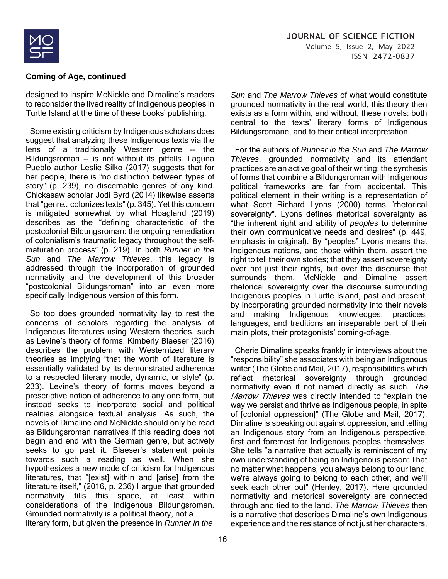

designed to inspire McNickle and Dimaline's readers to reconsider the lived reality of Indigenous peoples in Turtle Island at the time of these books' publishing.

 Some existing criticism by Indigenous scholars does suggest that analyzing these Indigenous texts via the lens of a traditionally Western genre -- the Bildungsroman -- is not without its pitfalls. Laguna Pueblo author Leslie Silko (2017) suggests that for her people, there is "no distinction between types of story" (p. 239), no discernable genres of any kind. Chickasaw scholar Jodi Byrd (2014) likewise asserts that "genre… colonizes texts" (p. 345). Yet this concern is mitigated somewhat by what Hoagland (2019) describes as the "defining characteristic of the postcolonial Bildungsroman: the ongoing remediation of colonialism's traumatic legacy throughout the selfmaturation process" (p. 219). In both *Runner in the Sun* and *The Marrow Thieves*, this legacy is addressed through the incorporation of grounded normativity and the development of this broader "postcolonial Bildungsroman" into an even more specifically Indigenous version of this form.

 So too does grounded normativity lay to rest the concerns of scholars regarding the analysis of Indigenous literatures using Western theories, such as Levine's theory of forms. Kimberly Blaeser (2016) describes the problem with Westernized literary theories as implying "that the worth of literature is essentially validated by its demonstrated adherence to a respected literary mode, dynamic, or style" (p. 233). Levine's theory of forms moves beyond a prescriptive notion of adherence to any one form, but instead seeks to incorporate social and political realities alongside textual analysis. As such, the novels of Dimaline and McNickle should only be read as Bildungsroman narratives if this reading does not begin and end with the German genre, but actively seeks to go past it. Blaeser's statement points towards such a reading as well. When she hypothesizes a new mode of criticism for Indigenous literatures, that "[exist] within and [arise] from the literature itself," (2016, p. 236) I argue that grounded normativity fills this space, at least within considerations of the Indigenous Bildungsroman. Grounded normativity is a political theory, not a literary form, but given the presence in *Runner in the* 

*Sun* and *The Marrow Thieves* of what would constitute grounded normativity in the real world, this theory then exists as a form within, and without, these novels: both central to the texts' literary forms of Indigenous Bildungsromane, and to their critical interpretation.

 For the authors of *Runner in the Sun* and *The Marrow Thieves*, grounded normativity and its attendant practices are an active goal of their writing: the synthesis of forms that combine a Bildungsroman with Indigenous political frameworks are far from accidental. This political element in their writing is a representation of what Scott Richard Lyons (2000) terms "rhetorical sovereignty". Lyons defines rhetorical sovereignty as "the inherent right and ability of *peoples* to determine their own communicative needs and desires" (p. 449, emphasis in original). By "peoples" Lyons means that Indigenous nations, and those within them, assert the right to tell their own stories; that they assert sovereignty over not just their rights, but over the discourse that surrounds them. McNickle and Dimaline assert rhetorical sovereignty over the discourse surrounding Indigenous peoples in Turtle Island, past and present, by incorporating grounded normativity into their novels and making Indigenous knowledges, practices, languages, and traditions an inseparable part of their main plots, their protagonists' coming-of-age.

 Cherie Dimaline speaks frankly in interviews about the "responsibility" she associates with being an Indigenous writer (The Globe and Mail, 2017), responsibilities which reflect rhetorical sovereignty through grounded normativity even if not named directly as such. The Marrow Thieves was directly intended to "explain the way we persist and thrive as Indigenous people, in spite of [colonial oppression]" (The Globe and Mail, 2017). Dimaline is speaking out against oppression, and telling an Indigenous story from an Indigenous perspective, first and foremost for Indigenous peoples themselves. She tells "a narrative that actually is reminiscent of my own understanding of being an Indigenous person: That no matter what happens, you always belong to our land, we're always going to belong to each other, and we'll seek each other out" (Henley, 2017). Here grounded normativity and rhetorical sovereignty are connected through and tied to the land. *The Marrow Thieves* then is a narrative that describes Dimaline's own Indigenous experience and the resistance of not just her characters,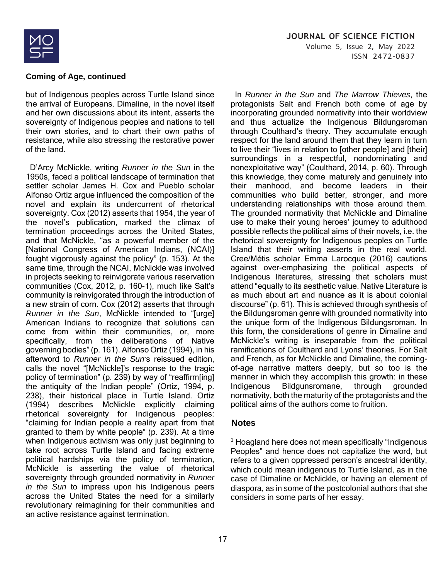

but of Indigenous peoples across Turtle Island since the arrival of Europeans. Dimaline, in the novel itself and her own discussions about its intent, asserts the sovereignty of Indigenous peoples and nations to tell their own stories, and to chart their own paths of resistance, while also stressing the restorative power of the land.

 D'Arcy McNickle, writing *Runner in the Sun* in the 1950s, faced a political landscape of termination that settler scholar James H. Cox and Pueblo scholar Alfonso Ortiz argue influenced the composition of the novel and explain its undercurrent of rhetorical sovereignty. Cox (2012) asserts that 1954, the year of the novel's publication, marked the climax of termination proceedings across the United States, and that McNickle, "as a powerful member of the [National Congress of American Indians, (NCAI)] fought vigorously against the policy" (p. 153). At the same time, through the NCAI, McNickle was involved in projects seeking to reinvigorate various reservation communities (Cox, 2012, p. 160-1), much like Salt's community is reinvigorated through the introduction of a new strain of corn. Cox (2012) asserts that through *Runner in the Sun*, McNickle intended to "[urge] American Indians to recognize that solutions can come from within their communities, or, more specifically, from the deliberations of Native governing bodies" (p. 161). Alfonso Ortiz (1994), in his afterword to *Runner in the Sun*'s reissued edition, calls the novel "[McNickle]'s response to the tragic policy of termination" (p. 239) by way of "reaffirm[ing] the antiquity of the Indian people" (Ortiz, 1994, p. 238), their historical place in Turtle Island. Ortiz (1994) describes McNickle explicitly claiming rhetorical sovereignty for Indigenous peoples: "claiming for Indian people a reality apart from that granted to them by white people" (p. 239). At a time when Indigenous activism was only just beginning to take root across Turtle Island and facing extreme political hardships via the policy of termination, McNickle is asserting the value of rhetorical sovereignty through grounded normativity in *Runner in the Sun* to impress upon his Indigenous peers across the United States the need for a similarly revolutionary reimagining for their communities and an active resistance against termination.

 In *Runner in the Sun* and *The Marrow Thieves*, the protagonists Salt and French both come of age by incorporating grounded normativity into their worldview and thus actualize the Indigenous Bildungsroman through Coulthard's theory. They accumulate enough respect for the land around them that they learn in turn to live their "lives in relation to [other people] and [their] surroundings in a respectful, nondominating and nonexploitative way" (Coulthard, 2014, p. 60). Through this knowledge, they come maturely and genuinely into their manhood, and become leaders in their communities who build better, stronger, and more understanding relationships with those around them. The grounded normativity that McNickle and Dimaline use to make their young heroes' journey to adulthood possible reflects the political aims of their novels, i.e. the rhetorical sovereignty for Indigenous peoples on Turtle Island that their writing asserts in the real world. Cree/Métis scholar Emma Larocque (2016) cautions against over-emphasizing the political aspects of Indigenous literatures, stressing that scholars must attend "equally to its aesthetic value. Native Literature is as much about art and nuance as it is about colonial discourse" (p. 61). This is achieved through synthesis of the Bildungsroman genre with grounded normativity into the unique form of the Indigenous Bildungsroman. In this form, the considerations of genre in Dimaline and McNickle's writing is inseparable from the political ramifications of Coulthard and Lyons' theories. For Salt and French, as for McNickle and Dimaline, the comingof-age narrative matters deeply, but so too is the manner in which they accomplish this growth: in these Indigenous Bildgunsromane, through grounded normativity, both the maturity of the protagonists and the political aims of the authors come to fruition.

#### **Notes**

<sup>1</sup> Hoagland here does not mean specifically "Indigenous Peoples" and hence does not capitalize the word, but refers to a given oppressed person's ancestral identity, which could mean indigenous to Turtle Island, as in the case of Dimaline or McNickle, or having an element of diaspora, as in some of the postcolonial authors that she considers in some parts of her essay.